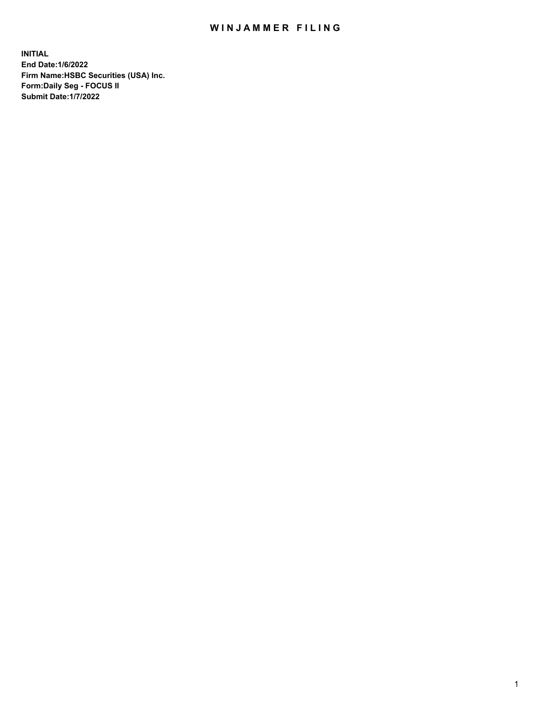## WIN JAMMER FILING

**INITIAL End Date:1/6/2022 Firm Name:HSBC Securities (USA) Inc. Form:Daily Seg - FOCUS II Submit Date:1/7/2022**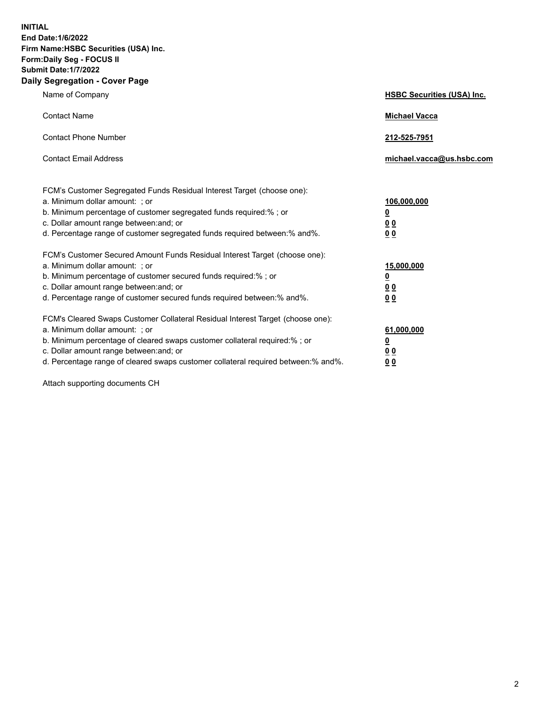**INITIAL End Date:1/6/2022 Firm Name:HSBC Securities (USA) Inc. Form:Daily Seg - FOCUS II Submit Date:1/7/2022 Daily Segregation - Cover Page**

| Name of Company                                                                                                                                                                                                                                                                                                                | <b>HSBC Securities (USA) Inc.</b>               |
|--------------------------------------------------------------------------------------------------------------------------------------------------------------------------------------------------------------------------------------------------------------------------------------------------------------------------------|-------------------------------------------------|
| <b>Contact Name</b>                                                                                                                                                                                                                                                                                                            | <b>Michael Vacca</b>                            |
| <b>Contact Phone Number</b>                                                                                                                                                                                                                                                                                                    | 212-525-7951                                    |
| <b>Contact Email Address</b>                                                                                                                                                                                                                                                                                                   | michael.vacca@us.hsbc.com                       |
| FCM's Customer Segregated Funds Residual Interest Target (choose one):<br>a. Minimum dollar amount: ; or<br>b. Minimum percentage of customer segregated funds required:%; or<br>c. Dollar amount range between: and; or<br>d. Percentage range of customer segregated funds required between:% and%.                          | 106,000,000<br><u>0</u><br>0 <sub>0</sub><br>00 |
| FCM's Customer Secured Amount Funds Residual Interest Target (choose one):<br>a. Minimum dollar amount: ; or<br>b. Minimum percentage of customer secured funds required:%; or<br>c. Dollar amount range between: and; or<br>d. Percentage range of customer secured funds required between:% and%.                            | 15,000,000<br><u>0</u><br>0 <sub>0</sub><br>00  |
| FCM's Cleared Swaps Customer Collateral Residual Interest Target (choose one):<br>a. Minimum dollar amount: ; or<br>b. Minimum percentage of cleared swaps customer collateral required:% ; or<br>c. Dollar amount range between: and; or<br>d. Percentage range of cleared swaps customer collateral required between:% and%. | 61,000,000<br><u>0</u><br><u>00</u><br>00       |

Attach supporting documents CH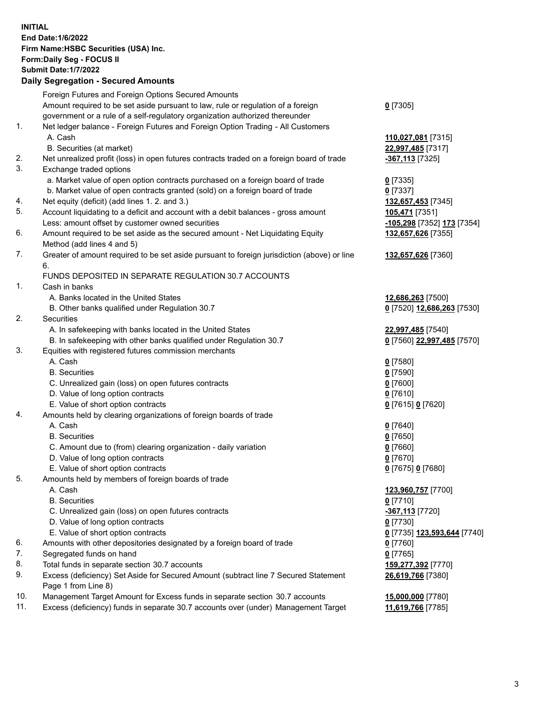**INITIAL End Date:1/6/2022 Firm Name:HSBC Securities (USA) Inc. Form:Daily Seg - FOCUS II Submit Date:1/7/2022 Daily Segregation - Secured Amounts** Foreign Futures and Foreign Options Secured Amounts Amount required to be set aside pursuant to law, rule or regulation of a foreign government or a rule of a self-regulatory organization authorized thereunder **0** [7305] 1. Net ledger balance - Foreign Futures and Foreign Option Trading - All Customers A. Cash **110,027,081** [7315] B. Securities (at market) **22,997,485** [7317] 2. Net unrealized profit (loss) in open futures contracts traded on a foreign board of trade **-367,113** [7325] 3. Exchange traded options a. Market value of open option contracts purchased on a foreign board of trade **0** [7335] b. Market value of open contracts granted (sold) on a foreign board of trade **0** [7337] 4. Net equity (deficit) (add lines 1. 2. and 3.) **132,657,453** [7345] 5. Account liquidating to a deficit and account with a debit balances - gross amount **105,471** [7351] Less: amount offset by customer owned securities **-105,298** [7352] **173** [7354] 6. Amount required to be set aside as the secured amount - Net Liquidating Equity Method (add lines 4 and 5) **132,657,626** [7355] 7. Greater of amount required to be set aside pursuant to foreign jurisdiction (above) or line 6. **132,657,626** [7360] FUNDS DEPOSITED IN SEPARATE REGULATION 30.7 ACCOUNTS 1. Cash in banks A. Banks located in the United States **12,686,263** [7500] B. Other banks qualified under Regulation 30.7 **0** [7520] **12,686,263** [7530] 2. Securities A. In safekeeping with banks located in the United States **22,997,485** [7540] B. In safekeeping with other banks qualified under Regulation 30.7 **0** [7560] **22,997,485** [7570] 3. Equities with registered futures commission merchants A. Cash **0** [7580] B. Securities **0** [7590] C. Unrealized gain (loss) on open futures contracts **0** [7600] D. Value of long option contracts **0** [7610] E. Value of short option contracts **0** [7615] **0** [7620] 4. Amounts held by clearing organizations of foreign boards of trade A. Cash **0** [7640] B. Securities **0** [7650] C. Amount due to (from) clearing organization - daily variation **0** [7660] D. Value of long option contracts **0** [7670] E. Value of short option contracts **0** [7675] **0** [7680] 5. Amounts held by members of foreign boards of trade A. Cash **123,960,757** [7700] B. Securities **0** [7710] C. Unrealized gain (loss) on open futures contracts **-367,113** [7720] D. Value of long option contracts **0** [7730] E. Value of short option contracts **0** [7735] **123,593,644** [7740] 6. Amounts with other depositories designated by a foreign board of trade **0** [7760] 7. Segregated funds on hand **0** [7765] 8. Total funds in separate section 30.7 accounts **159,277,392** [7770] 9. Excess (deficiency) Set Aside for Secured Amount (subtract line 7 Secured Statement Page 1 from Line 8) **26,619,766** [7380] 10. Management Target Amount for Excess funds in separate section 30.7 accounts **15,000,000** [7780] 11. Excess (deficiency) funds in separate 30.7 accounts over (under) Management Target **11,619,766** [7785]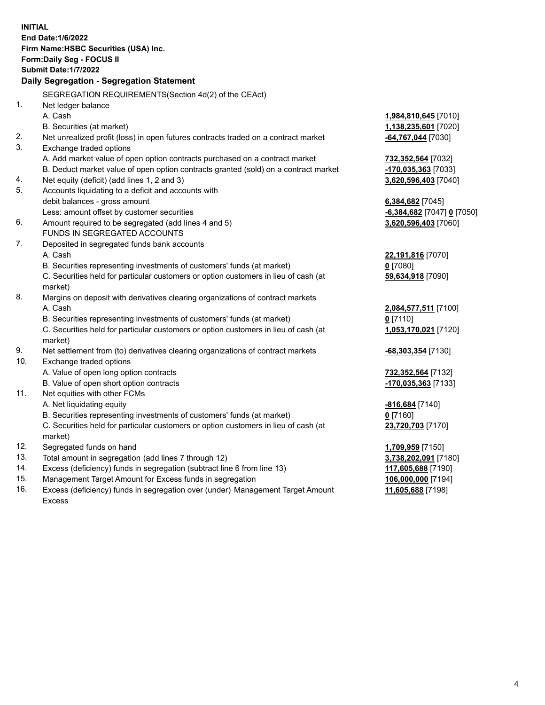|     | <b>INITIAL</b><br>End Date: 1/6/2022<br>Firm Name: HSBC Securities (USA) Inc.<br><b>Form:Daily Seg - FOCUS II</b><br><b>Submit Date: 1/7/2022</b><br>Daily Segregation - Segregation Statement |                             |
|-----|------------------------------------------------------------------------------------------------------------------------------------------------------------------------------------------------|-----------------------------|
|     | SEGREGATION REQUIREMENTS(Section 4d(2) of the CEAct)                                                                                                                                           |                             |
| 1.  | Net ledger balance                                                                                                                                                                             |                             |
|     | A. Cash                                                                                                                                                                                        | 1,984,810,645 [7010]        |
|     | B. Securities (at market)                                                                                                                                                                      | <u>1,138,235,601</u> [7020] |
| 2.  | Net unrealized profit (loss) in open futures contracts traded on a contract market                                                                                                             | 64,767,044 [7030]           |
| 3.  | Exchange traded options                                                                                                                                                                        |                             |
|     | A. Add market value of open option contracts purchased on a contract market                                                                                                                    | 732,352,564 [7032]          |
|     | B. Deduct market value of open option contracts granted (sold) on a contract market                                                                                                            | $-170,035,363$ [7033]       |
| 4.  | Net equity (deficit) (add lines 1, 2 and 3)                                                                                                                                                    | 3,620,596,403 [7040]        |
| 5.  | Accounts liquidating to a deficit and accounts with                                                                                                                                            |                             |
|     | debit balances - gross amount                                                                                                                                                                  | 6,384,682 [7045]            |
|     | Less: amount offset by customer securities                                                                                                                                                     | -6,384,682 [7047] 0 [7050]  |
| 6.  | Amount required to be segregated (add lines 4 and 5)                                                                                                                                           | 3,620,596,403 [7060]        |
|     | FUNDS IN SEGREGATED ACCOUNTS                                                                                                                                                                   |                             |
| 7.  | Deposited in segregated funds bank accounts                                                                                                                                                    |                             |
|     | A. Cash                                                                                                                                                                                        | 22,191,816 [7070]           |
|     | B. Securities representing investments of customers' funds (at market)                                                                                                                         | $0$ [7080]                  |
|     | C. Securities held for particular customers or option customers in lieu of cash (at<br>market)                                                                                                 | 59,634,918 [7090]           |
| 8.  | Margins on deposit with derivatives clearing organizations of contract markets                                                                                                                 |                             |
|     | A. Cash                                                                                                                                                                                        | 2,084,577,511 [7100]        |
|     | B. Securities representing investments of customers' funds (at market)                                                                                                                         | $0$ [7110]                  |
|     | C. Securities held for particular customers or option customers in lieu of cash (at<br>market)                                                                                                 | 1,053,170,021 [7120]        |
| 9.  | Net settlement from (to) derivatives clearing organizations of contract markets                                                                                                                | -68,303,354 [7130]          |
| 10. | Exchange traded options                                                                                                                                                                        |                             |
|     | A. Value of open long option contracts                                                                                                                                                         | <u>732,352,564</u> [7132]   |
|     | B. Value of open short option contracts                                                                                                                                                        | <u>-170,035,363</u> [7133]  |
| 11. | Net equities with other FCMs                                                                                                                                                                   |                             |
|     | A. Net liquidating equity                                                                                                                                                                      | <u>-816,684</u> [7140]      |
|     | B. Securities representing investments of customers' funds (at market)                                                                                                                         | $0$ [7160]                  |
|     | C. Securities held for particular customers or option customers in lieu of cash (at                                                                                                            | 23,720,703 [7170]           |
|     | market)                                                                                                                                                                                        |                             |
| 12. | Segregated funds on hand                                                                                                                                                                       | 1,709,959 [7150]            |
| 13. | Total amount in segregation (add lines 7 through 12)                                                                                                                                           | 3,738,202,091 [7180]        |
| 14. | Excess (deficiency) funds in segregation (subtract line 6 from line 13)                                                                                                                        | 117,605,688 [7190]          |
| 15. | Management Target Amount for Excess funds in segregation                                                                                                                                       | 106,000,000 [7194]          |

16. Excess (deficiency) funds in segregation over (under) Management Target Amount Excess

**11,605,688** [7198]